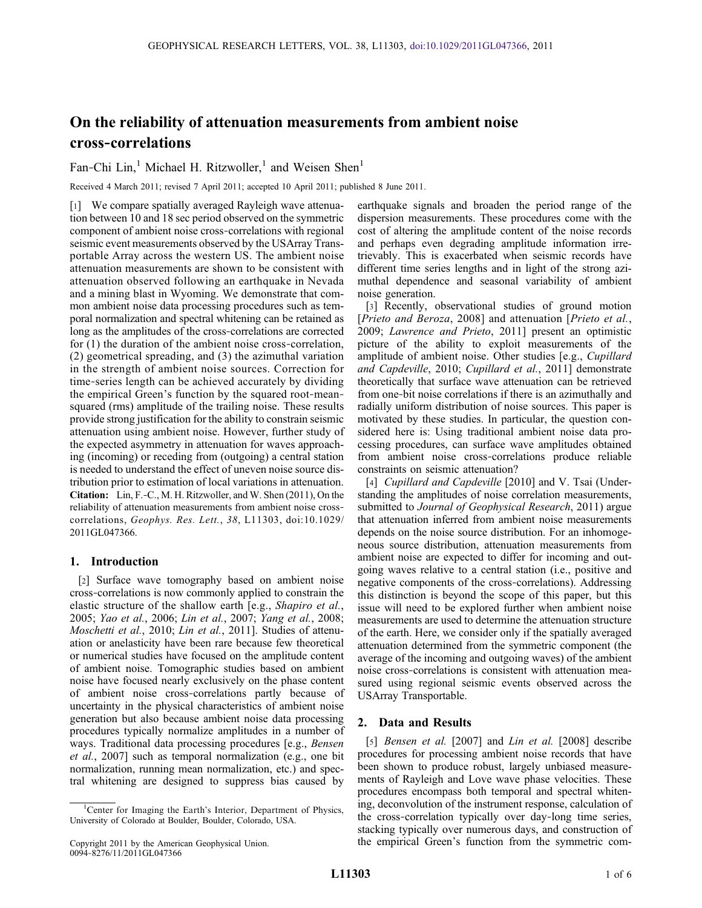# On the reliability of attenuation measurements from ambient noise cross‐correlations

Fan-Chi Lin,<sup>1</sup> Michael H. Ritzwoller,<sup>1</sup> and Weisen Shen<sup>1</sup>

Received 4 March 2011; revised 7 April 2011; accepted 10 April 2011; published 8 June 2011.

[1] We compare spatially averaged Rayleigh wave attenuation between 10 and 18 sec period observed on the symmetric component of ambient noise cross‐correlations with regional seismic event measurements observed by the USArray Transportable Array across the western US. The ambient noise attenuation measurements are shown to be consistent with attenuation observed following an earthquake in Nevada and a mining blast in Wyoming. We demonstrate that common ambient noise data processing procedures such as temporal normalization and spectral whitening can be retained as long as the amplitudes of the cross‐correlations are corrected for (1) the duration of the ambient noise cross-correlation, (2) geometrical spreading, and (3) the azimuthal variation in the strength of ambient noise sources. Correction for time‐series length can be achieved accurately by dividing the empirical Green's function by the squared root‐mean‐ squared (rms) amplitude of the trailing noise. These results provide strong justification for the ability to constrain seismic attenuation using ambient noise. However, further study of the expected asymmetry in attenuation for waves approaching (incoming) or receding from (outgoing) a central station is needed to understand the effect of uneven noise source distribution prior to estimation of local variations in attenuation. Citation: Lin, F.‐C., M. H. Ritzwoller, and W. Shen (2011), On the reliability of attenuation measurements from ambient noise crosscorrelations, Geophys. Res. Lett., 38, L11303, doi:10.1029/ 2011GL047366.

## 1. Introduction

[2] Surface wave tomography based on ambient noise cross‐correlations is now commonly applied to constrain the elastic structure of the shallow earth [e.g., Shapiro et al., 2005; Yao et al., 2006; Lin et al., 2007; Yang et al., 2008; Moschetti et al., 2010; Lin et al., 2011]. Studies of attenuation or anelasticity have been rare because few theoretical or numerical studies have focused on the amplitude content of ambient noise. Tomographic studies based on ambient noise have focused nearly exclusively on the phase content of ambient noise cross‐correlations partly because of uncertainty in the physical characteristics of ambient noise generation but also because ambient noise data processing procedures typically normalize amplitudes in a number of ways. Traditional data processing procedures [e.g., Bensen et al., 2007] such as temporal normalization (e.g., one bit normalization, running mean normalization, etc.) and spectral whitening are designed to suppress bias caused by

earthquake signals and broaden the period range of the dispersion measurements. These procedures come with the cost of altering the amplitude content of the noise records and perhaps even degrading amplitude information irretrievably. This is exacerbated when seismic records have different time series lengths and in light of the strong azimuthal dependence and seasonal variability of ambient noise generation.

[3] Recently, observational studies of ground motion [Prieto and Beroza, 2008] and attenuation [Prieto et al., 2009; Lawrence and Prieto, 2011] present an optimistic picture of the ability to exploit measurements of the amplitude of ambient noise. Other studies [e.g., Cupillard and Capdeville, 2010; Cupillard et al., 2011] demonstrate theoretically that surface wave attenuation can be retrieved from one‐bit noise correlations if there is an azimuthally and radially uniform distribution of noise sources. This paper is motivated by these studies. In particular, the question considered here is: Using traditional ambient noise data processing procedures, can surface wave amplitudes obtained from ambient noise cross‐correlations produce reliable constraints on seismic attenuation?

[4] Cupillard and Capdeville [2010] and V. Tsai (Understanding the amplitudes of noise correlation measurements, submitted to Journal of Geophysical Research, 2011) argue that attenuation inferred from ambient noise measurements depends on the noise source distribution. For an inhomogeneous source distribution, attenuation measurements from ambient noise are expected to differ for incoming and outgoing waves relative to a central station (i.e., positive and negative components of the cross‐correlations). Addressing this distinction is beyond the scope of this paper, but this issue will need to be explored further when ambient noise measurements are used to determine the attenuation structure of the earth. Here, we consider only if the spatially averaged attenuation determined from the symmetric component (the average of the incoming and outgoing waves) of the ambient noise cross‐correlations is consistent with attenuation measured using regional seismic events observed across the USArray Transportable.

## 2. Data and Results

[5] *Bensen et al.* [2007] and *Lin et al.* [2008] describe procedures for processing ambient noise records that have been shown to produce robust, largely unbiased measurements of Rayleigh and Love wave phase velocities. These procedures encompass both temporal and spectral whitening, deconvolution of the instrument response, calculation of the cross‐correlation typically over day‐long time series, stacking typically over numerous days, and construction of the empirical Green's function from the symmetric com-

<sup>&</sup>lt;sup>1</sup>Center for Imaging the Earth's Interior, Department of Physics, Center for Imaging the Earth's Interior, Department of Physics, University of Colorado at Boulder, Boulder, Colorado, USA.

Copyright 2011 by the American Geophysical Union. 0094‐8276/11/2011GL047366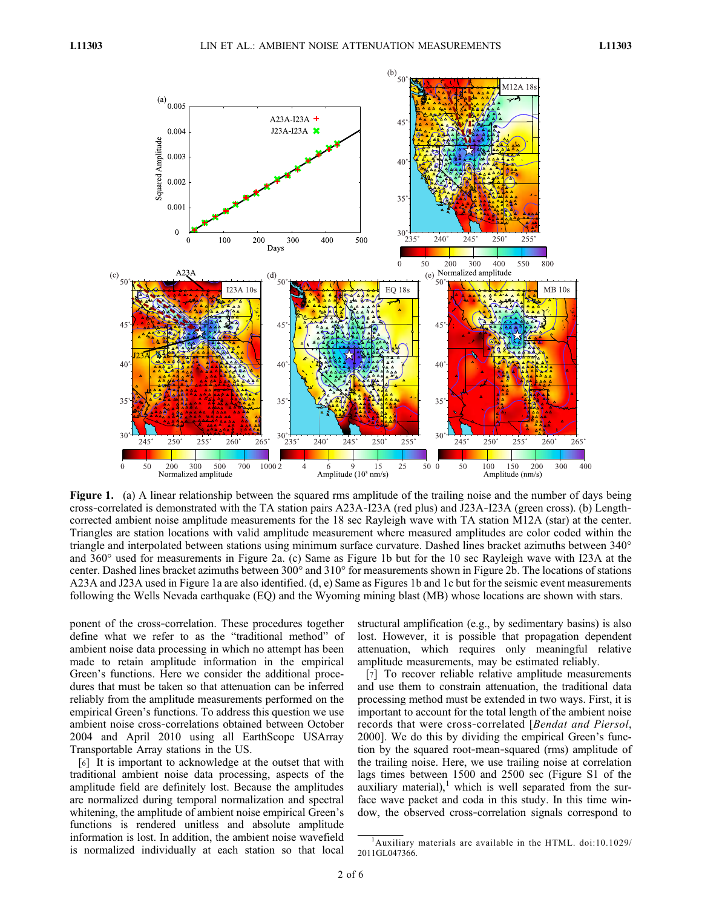

Figure 1. (a) A linear relationship between the squared rms amplitude of the trailing noise and the number of days being cross‐correlated is demonstrated with the TA station pairs A23A‐I23A (red plus) and J23A‐I23A (green cross). (b) Length‐ corrected ambient noise amplitude measurements for the 18 sec Rayleigh wave with TA station M12A (star) at the center. Triangles are station locations with valid amplitude measurement where measured amplitudes are color coded within the triangle and interpolated between stations using minimum surface curvature. Dashed lines bracket azimuths between 340° and 360° used for measurements in Figure 2a. (c) Same as Figure 1b but for the 10 sec Rayleigh wave with I23A at the center. Dashed lines bracket azimuths between 300° and 310° for measurements shown in Figure 2b. The locations of stations A23A and J23A used in Figure 1a are also identified. (d, e) Same as Figures 1b and 1c but for the seismic event measurements following the Wells Nevada earthquake (EQ) and the Wyoming mining blast (MB) whose locations are shown with stars.

ponent of the cross-correlation. These procedures together define what we refer to as the "traditional method" of ambient noise data processing in which no attempt has been made to retain amplitude information in the empirical Green's functions. Here we consider the additional procedures that must be taken so that attenuation can be inferred reliably from the amplitude measurements performed on the empirical Green's functions. To address this question we use ambient noise cross‐correlations obtained between October 2004 and April 2010 using all EarthScope USArray Transportable Array stations in the US.

[6] It is important to acknowledge at the outset that with traditional ambient noise data processing, aspects of the amplitude field are definitely lost. Because the amplitudes are normalized during temporal normalization and spectral whitening, the amplitude of ambient noise empirical Green's functions is rendered unitless and absolute amplitude information is lost. In addition, the ambient noise wavefield is normalized individually at each station so that local

structural amplification (e.g., by sedimentary basins) is also lost. However, it is possible that propagation dependent attenuation, which requires only meaningful relative amplitude measurements, may be estimated reliably.

[7] To recover reliable relative amplitude measurements and use them to constrain attenuation, the traditional data processing method must be extended in two ways. First, it is important to account for the total length of the ambient noise records that were cross‐correlated [Bendat and Piersol, 2000]. We do this by dividing the empirical Green's function by the squared root‐mean‐squared (rms) amplitude of the trailing noise. Here, we use trailing noise at correlation lags times between 1500 and 2500 sec (Figure S1 of the auxiliary material), $<sup>1</sup>$  which is well separated from the sur-</sup> face wave packet and coda in this study. In this time window, the observed cross‐correlation signals correspond to

<sup>1</sup> Auxiliary materials are available in the HTML. doi:10.1029/ 2011GL047366.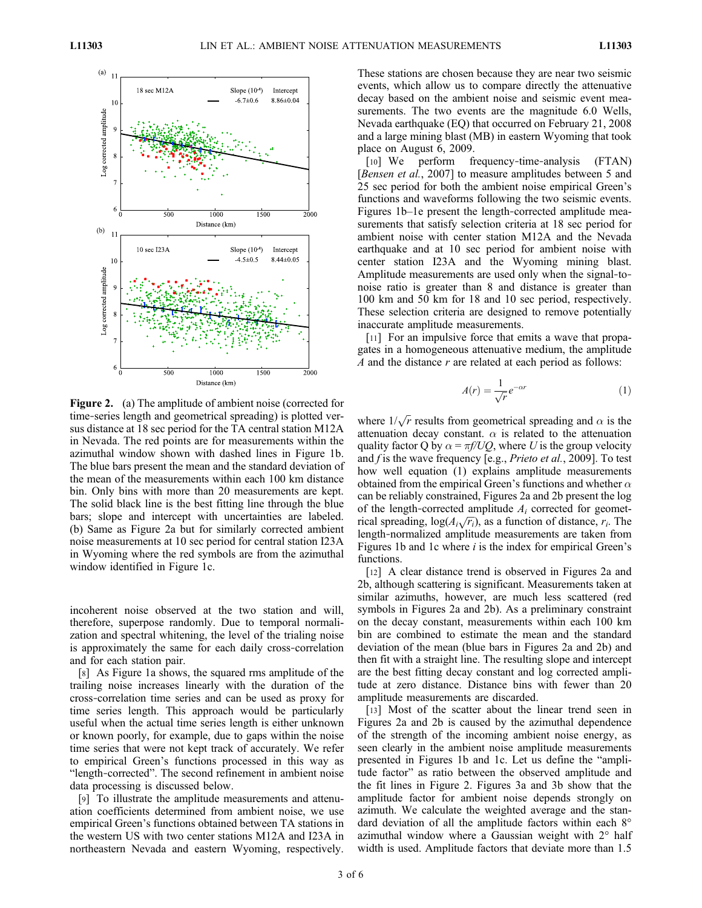

Figure 2. (a) The amplitude of ambient noise (corrected for time-series length and geometrical spreading) is plotted versus distance at 18 sec period for the TA central station M12A in Nevada. The red points are for measurements within the azimuthal window shown with dashed lines in Figure 1b. The blue bars present the mean and the standard deviation of the mean of the measurements within each 100 km distance bin. Only bins with more than 20 measurements are kept. The solid black line is the best fitting line through the blue bars; slope and intercept with uncertainties are labeled. (b) Same as Figure 2a but for similarly corrected ambient noise measurements at 10 sec period for central station I23A in Wyoming where the red symbols are from the azimuthal window identified in Figure 1c.

incoherent noise observed at the two station and will, therefore, superpose randomly. Due to temporal normalization and spectral whitening, the level of the trialing noise is approximately the same for each daily cross‐correlation and for each station pair.

[8] As Figure 1a shows, the squared rms amplitude of the trailing noise increases linearly with the duration of the cross‐correlation time series and can be used as proxy for time series length. This approach would be particularly useful when the actual time series length is either unknown or known poorly, for example, due to gaps within the noise time series that were not kept track of accurately. We refer to empirical Green's functions processed in this way as "length‐corrected". The second refinement in ambient noise data processing is discussed below.

[9] To illustrate the amplitude measurements and attenuation coefficients determined from ambient noise, we use empirical Green's functions obtained between TA stations in the western US with two center stations M12A and I23A in northeastern Nevada and eastern Wyoming, respectively.

These stations are chosen because they are near two seismic events, which allow us to compare directly the attenuative decay based on the ambient noise and seismic event measurements. The two events are the magnitude 6.0 Wells, Nevada earthquake (EQ) that occurred on February 21, 2008 and a large mining blast (MB) in eastern Wyoming that took place on August 6, 2009.

[10] We perform frequency-time-analysis (FTAN) [Bensen et al., 2007] to measure amplitudes between 5 and 25 sec period for both the ambient noise empirical Green's functions and waveforms following the two seismic events. Figures 1b–1e present the length-corrected amplitude measurements that satisfy selection criteria at 18 sec period for ambient noise with center station M12A and the Nevada earthquake and at 10 sec period for ambient noise with center station I23A and the Wyoming mining blast. Amplitude measurements are used only when the signal‐to‐ noise ratio is greater than 8 and distance is greater than 100 km and 50 km for 18 and 10 sec period, respectively. These selection criteria are designed to remove potentially inaccurate amplitude measurements.

[11] For an impulsive force that emits a wave that propagates in a homogeneous attenuative medium, the amplitude A and the distance r are related at each period as follows:

$$
A(r) = \frac{1}{\sqrt{r}} e^{-\alpha r}
$$
 (1)

where  $1/\sqrt{r}$  results from geometrical spreading and  $\alpha$  is the attenuation decay constant.  $\alpha$  is related to the attenuation quality factor Q by  $\alpha = \pi f/UQ$ , where U is the group velocity and  $f$  is the wave frequency [e.g., *Prieto et al.*, 2009]. To test how well equation (1) explains amplitude measurements obtained from the empirical Green's functions and whether  $\alpha$ can be reliably constrained, Figures 2a and 2b present the log of the length-corrected amplitude  $A_i$  corrected for geometrical spreading,  $log(A_i\sqrt{r_i})$ , as a function of distance,  $r_i$ . The length‐normalized amplitude measurements are taken from Figures 1b and 1c where  $i$  is the index for empirical Green's functions.

[12] A clear distance trend is observed in Figures 2a and 2b, although scattering is significant. Measurements taken at similar azimuths, however, are much less scattered (red symbols in Figures 2a and 2b). As a preliminary constraint on the decay constant, measurements within each 100 km bin are combined to estimate the mean and the standard deviation of the mean (blue bars in Figures 2a and 2b) and then fit with a straight line. The resulting slope and intercept are the best fitting decay constant and log corrected amplitude at zero distance. Distance bins with fewer than 20 amplitude measurements are discarded.

[13] Most of the scatter about the linear trend seen in Figures 2a and 2b is caused by the azimuthal dependence of the strength of the incoming ambient noise energy, as seen clearly in the ambient noise amplitude measurements presented in Figures 1b and 1c. Let us define the "amplitude factor" as ratio between the observed amplitude and the fit lines in Figure 2. Figures 3a and 3b show that the amplitude factor for ambient noise depends strongly on azimuth. We calculate the weighted average and the standard deviation of all the amplitude factors within each 8° azimuthal window where a Gaussian weight with 2° half width is used. Amplitude factors that deviate more than 1.5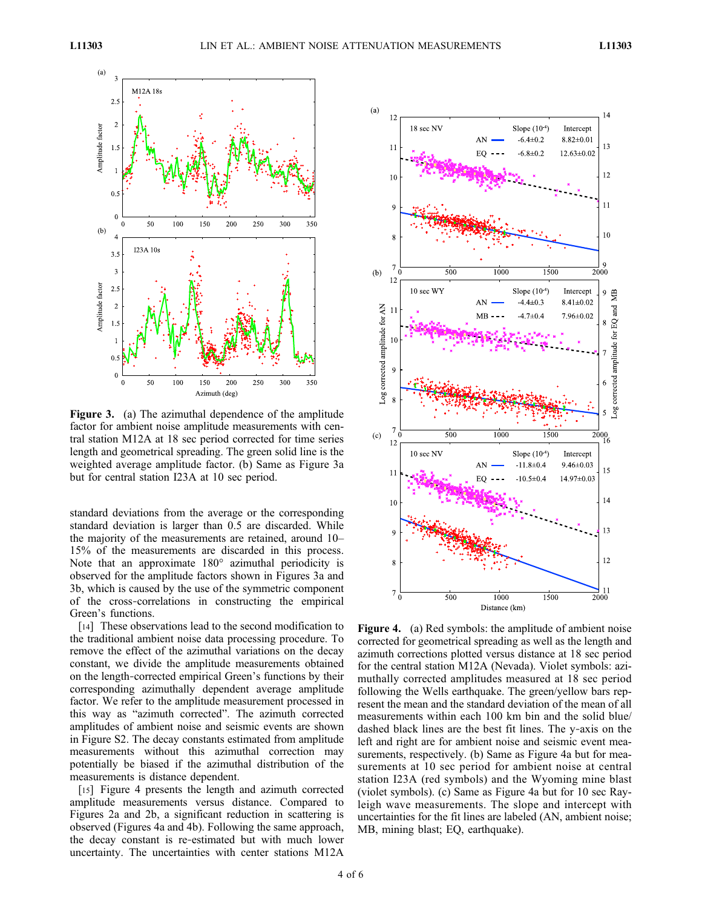

Figure 3. (a) The azimuthal dependence of the amplitude factor for ambient noise amplitude measurements with central station M12A at 18 sec period corrected for time series length and geometrical spreading. The green solid line is the weighted average amplitude factor. (b) Same as Figure 3a but for central station I23A at 10 sec period.

standard deviations from the average or the corresponding standard deviation is larger than 0.5 are discarded. While the majority of the measurements are retained, around 10– 15% of the measurements are discarded in this process. Note that an approximate 180° azimuthal periodicity is observed for the amplitude factors shown in Figures 3a and 3b, which is caused by the use of the symmetric component of the cross‐correlations in constructing the empirical Green's functions.

[14] These observations lead to the second modification to the traditional ambient noise data processing procedure. To remove the effect of the azimuthal variations on the decay constant, we divide the amplitude measurements obtained on the length‐corrected empirical Green's functions by their corresponding azimuthally dependent average amplitude factor. We refer to the amplitude measurement processed in this way as "azimuth corrected". The azimuth corrected amplitudes of ambient noise and seismic events are shown in Figure S2. The decay constants estimated from amplitude measurements without this azimuthal correction may potentially be biased if the azimuthal distribution of the measurements is distance dependent.

[15] Figure 4 presents the length and azimuth corrected amplitude measurements versus distance. Compared to Figures 2a and 2b, a significant reduction in scattering is observed (Figures 4a and 4b). Following the same approach, the decay constant is re‐estimated but with much lower uncertainty. The uncertainties with center stations M12A



Figure 4. (a) Red symbols: the amplitude of ambient noise corrected for geometrical spreading as well as the length and azimuth corrections plotted versus distance at 18 sec period for the central station M12A (Nevada). Violet symbols: azimuthally corrected amplitudes measured at 18 sec period following the Wells earthquake. The green/yellow bars represent the mean and the standard deviation of the mean of all measurements within each 100 km bin and the solid blue/ dashed black lines are the best fit lines. The y‐axis on the left and right are for ambient noise and seismic event measurements, respectively. (b) Same as Figure 4a but for measurements at 10 sec period for ambient noise at central station I23A (red symbols) and the Wyoming mine blast (violet symbols). (c) Same as Figure 4a but for 10 sec Rayleigh wave measurements. The slope and intercept with uncertainties for the fit lines are labeled (AN, ambient noise; MB, mining blast; EQ, earthquake).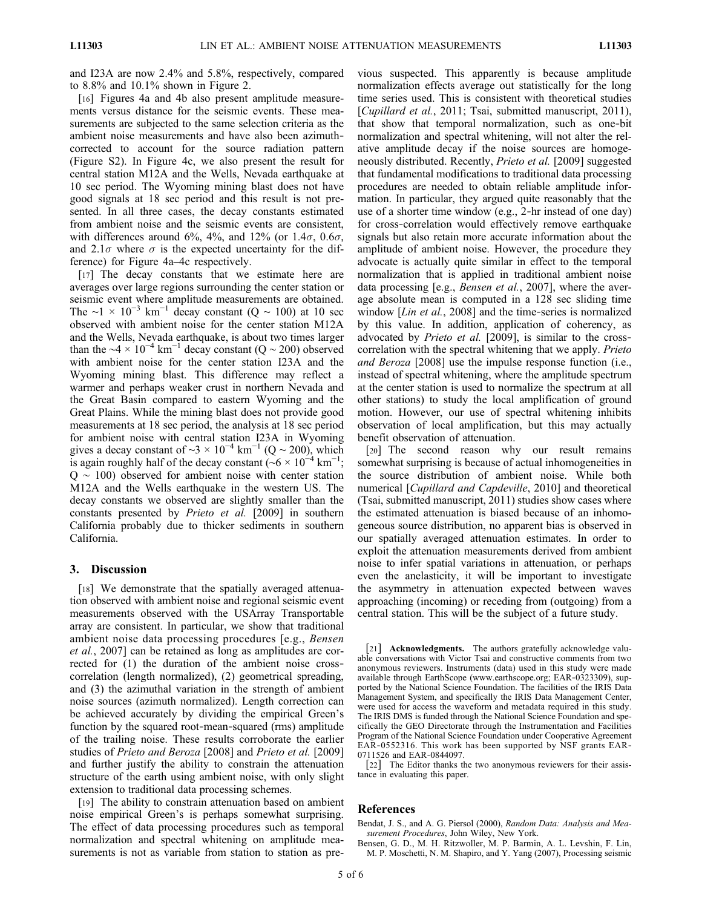and I23A are now 2.4% and 5.8%, respectively, compared to 8.8% and 10.1% shown in Figure 2.

[16] Figures 4a and 4b also present amplitude measurements versus distance for the seismic events. These measurements are subjected to the same selection criteria as the ambient noise measurements and have also been azimuth‐ corrected to account for the source radiation pattern (Figure S2). In Figure 4c, we also present the result for central station M12A and the Wells, Nevada earthquake at 10 sec period. The Wyoming mining blast does not have good signals at 18 sec period and this result is not presented. In all three cases, the decay constants estimated from ambient noise and the seismic events are consistent, with differences around 6%, 4%, and 12% (or 1.4 $\sigma$ , 0.6 $\sigma$ , and 2.1 $\sigma$  where  $\sigma$  is the expected uncertainty for the difference) for Figure 4a–4c respectively.

[17] The decay constants that we estimate here are averages over large regions surrounding the center station or seismic event where amplitude measurements are obtained. The ∼1 × 10<sup>-3</sup> km<sup>-1</sup> decay constant (Q ~ 100) at 10 sec observed with ambient noise for the center station M12A and the Wells, Nevada earthquake, is about two times larger than the  $\sim$ 4 × 10<sup>-4</sup> km<sup>-1</sup> decay constant (Q ~ 200) observed with ambient noise for the center station I23A and the Wyoming mining blast. This difference may reflect a warmer and perhaps weaker crust in northern Nevada and the Great Basin compared to eastern Wyoming and the Great Plains. While the mining blast does not provide good measurements at 18 sec period, the analysis at 18 sec period for ambient noise with central station I23A in Wyoming gives a decay constant of  $\sim$ 3 × 10<sup>-4</sup> km<sup>-1</sup> (Q ~ 200), which is again roughly half of the decay constant (~ $6 \times 10^{-4}$  km<sup>-1</sup>; Q ∼ 100) observed for ambient noise with center station M12A and the Wells earthquake in the western US. The decay constants we observed are slightly smaller than the constants presented by Prieto et al. [2009] in southern California probably due to thicker sediments in southern California.

### 3. Discussion

[18] We demonstrate that the spatially averaged attenuation observed with ambient noise and regional seismic event measurements observed with the USArray Transportable array are consistent. In particular, we show that traditional ambient noise data processing procedures [e.g., Bensen et al., 2007] can be retained as long as amplitudes are corrected for (1) the duration of the ambient noise crosscorrelation (length normalized), (2) geometrical spreading, and (3) the azimuthal variation in the strength of ambient noise sources (azimuth normalized). Length correction can be achieved accurately by dividing the empirical Green's function by the squared root-mean-squared (rms) amplitude of the trailing noise. These results corroborate the earlier studies of Prieto and Beroza [2008] and Prieto et al. [2009] and further justify the ability to constrain the attenuation structure of the earth using ambient noise, with only slight extension to traditional data processing schemes.

[19] The ability to constrain attenuation based on ambient noise empirical Green's is perhaps somewhat surprising. The effect of data processing procedures such as temporal normalization and spectral whitening on amplitude measurements is not as variable from station to station as previous suspected. This apparently is because amplitude normalization effects average out statistically for the long time series used. This is consistent with theoretical studies [Cupillard et al., 2011; Tsai, submitted manuscript, 2011), that show that temporal normalization, such as one‐bit normalization and spectral whitening, will not alter the relative amplitude decay if the noise sources are homogeneously distributed. Recently, Prieto et al. [2009] suggested that fundamental modifications to traditional data processing procedures are needed to obtain reliable amplitude information. In particular, they argued quite reasonably that the use of a shorter time window (e.g., 2‐hr instead of one day) for cross-correlation would effectively remove earthquake signals but also retain more accurate information about the amplitude of ambient noise. However, the procedure they advocate is actually quite similar in effect to the temporal normalization that is applied in traditional ambient noise data processing [e.g., Bensen et al., 2007], where the average absolute mean is computed in a 128 sec sliding time window [*Lin et al.*, 2008] and the time-series is normalized by this value. In addition, application of coherency, as advocated by Prieto et al. [2009], is similar to the crosscorrelation with the spectral whitening that we apply. *Prieto* and Beroza [2008] use the impulse response function (i.e., instead of spectral whitening, where the amplitude spectrum at the center station is used to normalize the spectrum at all other stations) to study the local amplification of ground motion. However, our use of spectral whitening inhibits observation of local amplification, but this may actually benefit observation of attenuation.

[20] The second reason why our result remains somewhat surprising is because of actual inhomogeneities in the source distribution of ambient noise. While both numerical [Cupillard and Capdeville, 2010] and theoretical (Tsai, submitted manuscript, 2011) studies show cases where the estimated attenuation is biased because of an inhomogeneous source distribution, no apparent bias is observed in our spatially averaged attenuation estimates. In order to exploit the attenuation measurements derived from ambient noise to infer spatial variations in attenuation, or perhaps even the anelasticity, it will be important to investigate the asymmetry in attenuation expected between waves approaching (incoming) or receding from (outgoing) from a central station. This will be the subject of a future study.

[22] The Editor thanks the two anonymous reviewers for their assistance in evaluating this paper.

### References

Bendat, J. S., and A. G. Piersol (2000), Random Data: Analysis and Measurement Procedures, John Wiley, New York.

Bensen, G. D., M. H. Ritzwoller, M. P. Barmin, A. L. Levshin, F. Lin, M. P. Moschetti, N. M. Shapiro, and Y. Yang (2007), Processing seismic

<sup>[21]</sup> **Acknowledgments.** The authors gratefully acknowledge valuable conversations with Victor Tsai and constructive comments from two anonymous reviewers. Instruments (data) used in this study were made available through EarthScope (www.earthscope.org; EAR‐0323309), supported by the National Science Foundation. The facilities of the IRIS Data Management System, and specifically the IRIS Data Management Center, were used for access the waveform and metadata required in this study. The IRIS DMS is funded through the National Science Foundation and specifically the GEO Directorate through the Instrumentation and Facilities Program of the National Science Foundation under Cooperative Agreement EAR‐0552316. This work has been supported by NSF grants EAR‐ 0711526 and EAR‐0844097.